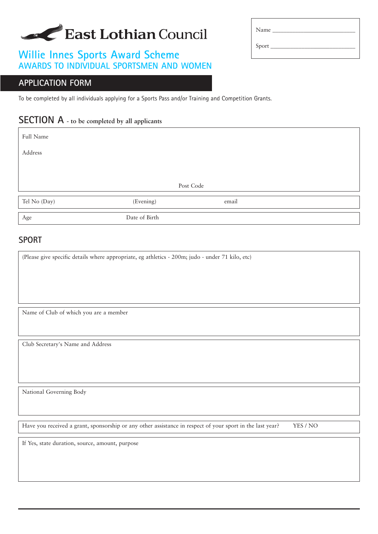# East Lothian Council

## **Willie Innes Sports Award Scheme AWARDS TO INDIVIDUAL SPORTSMEN AND WOMEN**

#### **APPLICATION FORM**

To be completed by all individuals applying for a Sports Pass and/or Training and Competition Grants.

## **SECTION A - to be completed by all applicants**

Full Name Address Post Code Tel No (Day) (Evening) email Age Date of Birth

#### **SPORT**

(Please give specific details where appropriate, eg athletics - 200m; judo - under 71 kilo, etc)

Name of Club of which you are a member

Club Secretary's Name and Address

National Governing Body

Have you received a grant, sponsorship or any other assistance in respect of your sport in the last year? YES / NO

If Yes, state duration, source, amount, purpose

| Name  |  |
|-------|--|
| Sport |  |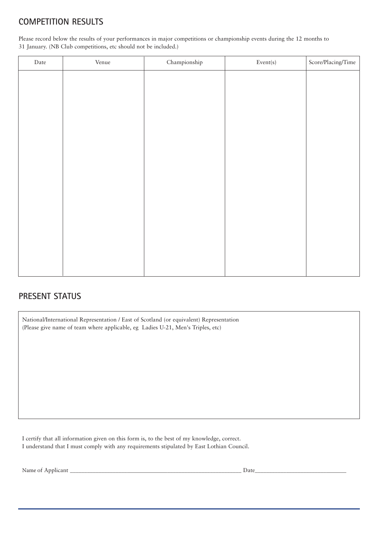### **COMPETITION RESULTS**

Please record below the results of your performances in major competitions or championship events during the 12 months to 31 January. (NB Club competitions, etc should not be included.)

| $\rm{Date}$ | Venue | Championship | $\ensuremath{\text{Event}}\xspace(s)$ | Score/Placing/Time |
|-------------|-------|--------------|---------------------------------------|--------------------|
|             |       |              |                                       |                    |
|             |       |              |                                       |                    |
|             |       |              |                                       |                    |
|             |       |              |                                       |                    |
|             |       |              |                                       |                    |
|             |       |              |                                       |                    |
|             |       |              |                                       |                    |
|             |       |              |                                       |                    |
|             |       |              |                                       |                    |
|             |       |              |                                       |                    |
|             |       |              |                                       |                    |
|             |       |              |                                       |                    |
|             |       |              |                                       |                    |
|             |       |              |                                       |                    |
|             |       |              |                                       |                    |

#### **PRESENT STATUS**

National/International Representation / East of Scotland (or equivalent) Representation (Please give name of team where applicable, eg Ladies U-21, Men's Triples, etc)

I certify that all information given on this form is, to the best of my knowledge, correct. I understand that I must comply with any requirements stipulated by East Lothian Council.

Name of Applicant \_\_\_\_\_\_\_\_\_\_\_\_\_\_\_\_\_\_\_\_\_\_\_\_\_\_\_\_\_\_\_\_\_\_\_\_\_\_\_\_\_\_\_\_\_\_\_\_\_\_\_\_\_\_\_\_\_\_\_\_ Date\_\_\_\_\_\_\_\_\_\_\_\_\_\_\_\_\_\_\_\_\_\_\_\_\_\_\_\_\_\_\_\_